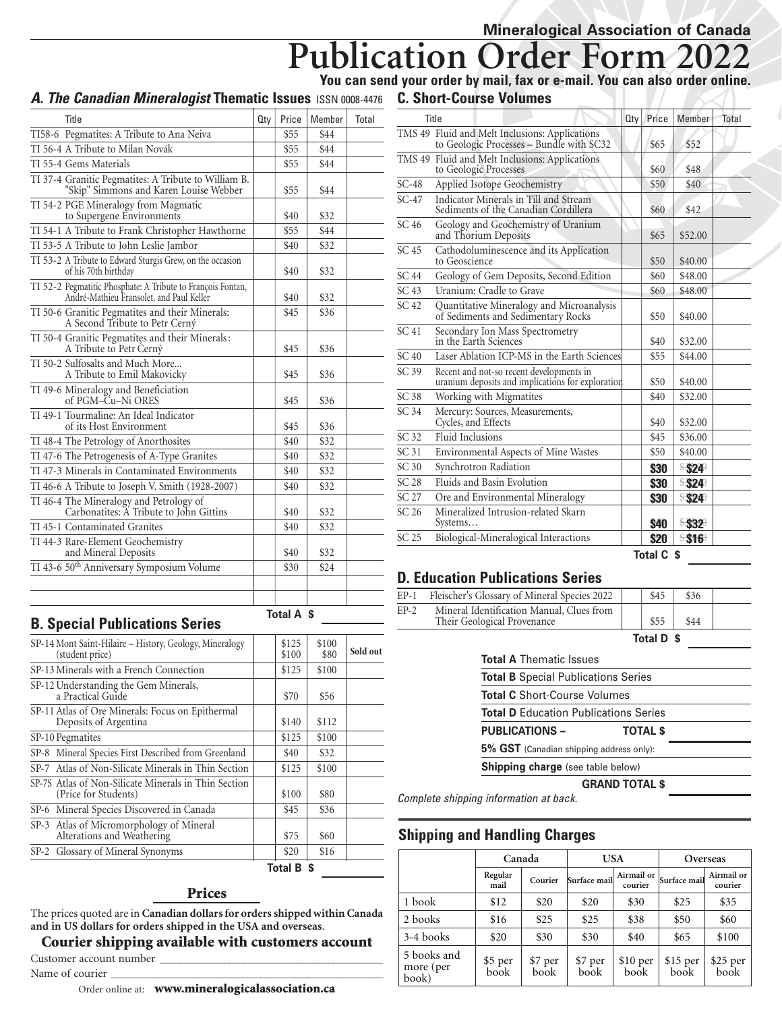# **Publication Order Form You can send your order by mail, fax or e-mail. You can also order online.**

#### **A.** *The Canadian Mineralogist* **Thematic Issues ISSN 0008-4476 C. Short-Course Volumes**

| Title                                                                                                   | 0 <sub>ty</sub> | Price     | Member | Total |
|---------------------------------------------------------------------------------------------------------|-----------------|-----------|--------|-------|
| TI58-6 Pegmatites: A Tribute to Ana Neiva                                                               |                 | \$55      | \$44   |       |
| TI 56-4 A Tribute to Milan Novák                                                                        |                 | \$55      | \$44   |       |
| TI 55-4 Gems Materials                                                                                  |                 | \$55      | \$44   |       |
| TI 37-4 Granitic Pegmatites: A Tribute to William B.<br>"Skip" Simmons and Karen Louise Webber          |                 | \$55      | \$44   |       |
| TI 54-2 PGE Mineralogy from Magmatic<br>to Supergene Environments                                       |                 | \$40      | \$32   |       |
| TI 54-1 A Tribute to Frank Christopher Hawthorne                                                        |                 | \$55      | \$44   |       |
| TI 53-5 A Tribute to John Leslie Jambor                                                                 |                 | \$40      | \$32   |       |
| TI 53-2 A Tribute to Edward Sturgis Grew, on the occasion<br>of his 70th birthday                       |                 | \$40      | \$32   |       |
| TI 52-2 Pegmatitic Phosphate: A Tribute to François Fontan,<br>André-Mathieu Fransolet, and Paul Keller |                 | \$40      | \$32   |       |
| TI 50-6 Granitic Pegmatites and their Minerals:<br>A Second Tribute to Petr Cerný                       |                 | \$45      | \$36   |       |
| TI 50-4 Granitic Pegmatites and their Minerals:<br>A Tribute to Petr Cerný                              |                 | \$45      | \$36   |       |
| TI 50-2 Sulfosalts and Much More<br>A Tribute to Emil Makovicky                                         |                 | \$45      | \$36   |       |
| TI 49-6 Mineralogy and Beneficiation<br>of PGM-Cu-Ni ORES                                               |                 | \$45      | \$36   |       |
| TI 49-1 Tourmaline: An Ideal Indicator<br>of its Host Environment                                       |                 | \$45      | \$36   |       |
| TI 48-4 The Petrology of Anorthosites                                                                   |                 | \$40      | \$32   |       |
| TI 47-6 The Petrogenesis of A-Type Granites                                                             |                 | \$40      | \$32   |       |
| TI 47-3 Minerals in Contaminated Environments                                                           |                 | \$40      | \$32   |       |
| TI 46-6 A Tribute to Joseph V. Smith (1928-2007)                                                        |                 | \$40      | \$32   |       |
| TI 46-4 The Mineralogy and Petrology of<br>Carbonatites: A Tribute to John Gittins                      |                 | \$40      | \$32   |       |
| TI 45-1 Contaminated Granites                                                                           |                 | \$40      | \$32   |       |
| TI 44-3 Rare-Element Geochemistry<br>and Mineral Deposits                                               |                 | \$40      | \$32   |       |
| TI 43-6 50 <sup>th</sup> Anniversary Symposium Volume                                                   |                 | \$30      | \$24   |       |
|                                                                                                         |                 |           |        |       |
|                                                                                                         |                 |           |        |       |
|                                                                                                         |                 | Total A S |        |       |

#### **Total A \$ B. Special Publications Series**

| SP-14 Mont Saint-Hilaire – History, Geology, Mineralogy<br>(student price)   | \$125<br>\$100 | \$100<br>\$80 | Sold out |
|------------------------------------------------------------------------------|----------------|---------------|----------|
| SP-13 Minerals with a French Connection                                      | \$125          | \$100         |          |
| SP-12 Understanding the Gem Minerals,<br>a Practical Guide                   | \$70           | \$56          |          |
| SP-11 Atlas of Ore Minerals: Focus on Epithermal<br>Deposits of Argentina    | \$140          | \$112         |          |
| SP-10 Pegmatites                                                             | \$125          | \$100         |          |
| SP-8 Mineral Species First Described from Greenland                          | \$40           | \$32          |          |
| SP-7 Atlas of Non-Silicate Minerals in Thin Section                          | \$125          | \$100         |          |
| SP-7S Atlas of Non-Silicate Minerals in Thin Section<br>(Price for Students) | \$100          | \$80          |          |
| SP-6 Mineral Species Discovered in Canada                                    | \$45           | \$36          |          |
| SP-3 Atlas of Micromorphology of Mineral<br>Alterations and Weathering       | \$75           | \$60          |          |
| SP-2 Glossary of Mineral Synonyms                                            | \$20           | \$16          |          |
|                                                                              | Total B \$     |               |          |

#### Prices

The prices quoted are in **Canadian dollars for orders shipped within Canada and in US dollars for orders shipped in the USA and overseas**.

#### Courier shipping available with customers account

Customer account number

Name of courier

Order online at: www.mineralogicalassociation.ca

|                  | G. ƏNDIL-GOUISE VUIUNIES                                                                      |     |       |         |       |
|------------------|-----------------------------------------------------------------------------------------------|-----|-------|---------|-------|
|                  | Title                                                                                         | Qty | Price | Member  | Total |
|                  | TMS 49 Fluid and Melt Inclusions: Applications<br>to Geologic Processes - Bundle with SC32    |     | \$65  | \$52    |       |
|                  | TMS 49 Fluid and Melt Inclusions: Applications<br>to Geologic Processes                       |     | \$60  | \$48    |       |
| $SC-48$          | Applied Isotope Geochemistry                                                                  |     | \$50  | \$40    |       |
| $SC-47$          | Indicator Minerals in Till and Stream<br>Sediments of the Canadian Cordillera                 |     | \$60  | \$42    |       |
| SC 46            | Geology and Geochemistry of Uranium<br>and Thorium Deposits                                   |     | \$65  | \$52.00 |       |
| SC 45            | Cathodoluminescence and its Application<br>to Geoscience                                      |     | \$50  | \$40.00 |       |
| <b>SC 44</b>     | Geology of Gem Deposits, Second Edition                                                       |     | \$60  | \$48.00 |       |
| SC <sub>43</sub> | Uranium: Cradle to Grave                                                                      |     | \$60  | \$48.00 |       |
| SC 42            | Quantitative Mineralogy and Microanalysis<br>of Sediments and Sedimentary Rocks               |     | \$50  | \$40.00 |       |
| SC <sub>41</sub> | Secondary Ion Mass Spectrometry<br>in the Earth Sciences                                      |     | \$40  | \$32.00 |       |
| SC40             | Laser Ablation ICP-MS in the Earth Sciences                                                   |     | \$55  | \$44.00 |       |
| SC 39            | Recent and not-so recent developments in<br>uranium deposits and implications for exploration |     | \$50  | \$40.00 |       |
| SC 38            | Working with Migmatites                                                                       |     | \$40  | \$32.00 |       |
| SC 34            | Mercury: Sources, Measurements,<br>Cycles, and Effects                                        |     | \$40  | \$32.00 |       |
| SC 32            | Fluid Inclusions                                                                              |     | \$45  | \$36.00 |       |
| SC <sub>31</sub> | Environmental Aspects of Mine Wastes                                                          |     | \$50  | \$40.00 |       |
| SC <sub>30</sub> | Synchrotron Radiation                                                                         |     | \$30  | \$324   |       |
| <b>SC 28</b>     | Fluids and Basin Evolution                                                                    |     | \$30  | \$324   |       |
| <b>SC 27</b>     | Ore and Environmental Mineralogy                                                              |     | \$30  | \$324   |       |
| SC 26            | Mineralized Intrusion-related Skarn<br>Systems                                                |     | \$40  | \$32    |       |
| SC 25            | Biological-Mineralogical Interactions                                                         |     | \$20  | \$316   |       |

## **D. Education Publications Series**

| $EP-1$ | Fleischer's Glossary of Mineral Species 2022                             | \$45            | \$36 |  |
|--------|--------------------------------------------------------------------------|-----------------|------|--|
| $EP-2$ | Mineral Identification Manual, Clues from<br>Their Geological Provenance |                 | \$44 |  |
|        |                                                                          | Total D \$      |      |  |
|        | <b>Total A Thematic Issues</b>                                           |                 |      |  |
|        | <b>Total B</b> Special Publications Series                               |                 |      |  |
|        | <b>Total C</b> Short-Course Volumes                                      |                 |      |  |
|        | <b>Total D</b> Education Publications Series                             |                 |      |  |
|        | <b>PUBLICATIONS -</b>                                                    | <b>TOTAL \$</b> |      |  |
|        | 5% GST (Canadian shipping address only):                                 |                 |      |  |
|        | <b>Shipping charge</b> (see table below)                                 |                 |      |  |
|        |                                                                          |                 |      |  |

#### **GRAND TOTAL \$**

*Complete shipping information at back.*

#### **Shipping and Handling Charges**

|                                   | Canada          |                 |                 | USA                        | Overseas         |                       |  |
|-----------------------------------|-----------------|-----------------|-----------------|----------------------------|------------------|-----------------------|--|
|                                   | Regular<br>mail | Courier         | Surface mail    | Airmail or<br>courier      | Surface mail     | Airmail or<br>courier |  |
| 1 book                            | \$12            | \$20            | \$20            | \$30                       | \$25             | \$35                  |  |
| 2 books                           | \$16            | \$25            | \$25            | \$38                       | \$50             | \$60                  |  |
| 3-4 books                         | \$20            | \$30            | \$30            | \$40                       | \$65             | \$100                 |  |
| 5 books and<br>more (per<br>book) | \$5 per<br>book | \$7 per<br>book | \$7 per<br>book | $$10~\mathrm{per}$<br>book | \$15 per<br>book | $$25$ per<br>book     |  |